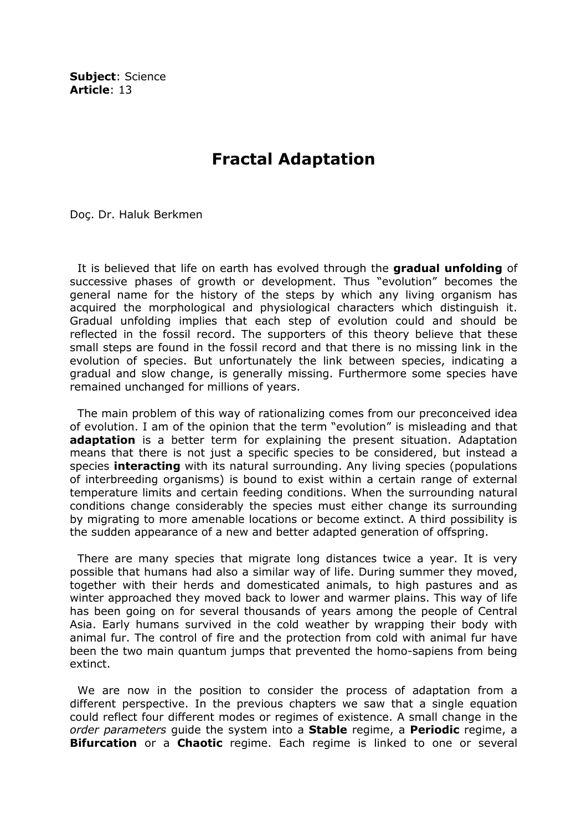Subject: Science Article: 13

## Fractal Adaptation

Doç. Dr. Haluk Berkmen

It is believed that life on earth has evolved through the **gradual unfolding** of successive phases of growth or development. Thus "evolution" becomes the general name for the history of the steps by which any living organism has acquired the morphological and physiological characters which distinguish it. Gradual unfolding implies that each step of evolution could and should be reflected in the fossil record. The supporters of this theory believe that these small steps are found in the fossil record and that there is no missing link in the evolution of species. But unfortunately the link between species, indicating a gradual and slow change, is generally missing. Furthermore some species have remained unchanged for millions of years.

 The main problem of this way of rationalizing comes from our preconceived idea of evolution. I am of the opinion that the term "evolution" is misleading and that **adaptation** is a better term for explaining the present situation. Adaptation means that there is not just a specific species to be considered, but instead a species **interacting** with its natural surrounding. Any living species (populations of interbreeding organisms) is bound to exist within a certain range of external temperature limits and certain feeding conditions. When the surrounding natural conditions change considerably the species must either change its surrounding by migrating to more amenable locations or become extinct. A third possibility is the sudden appearance of a new and better adapted generation of offspring.

 There are many species that migrate long distances twice a year. It is very possible that humans had also a similar way of life. During summer they moved, together with their herds and domesticated animals, to high pastures and as winter approached they moved back to lower and warmer plains. This way of life has been going on for several thousands of years among the people of Central Asia. Early humans survived in the cold weather by wrapping their body with animal fur. The control of fire and the protection from cold with animal fur have been the two main quantum jumps that prevented the homo-sapiens from being extinct.

 We are now in the position to consider the process of adaptation from a different perspective. In the previous chapters we saw that a single equation could reflect four different modes or regimes of existence. A small change in the order parameters quide the system into a **Stable** regime, a **Periodic** regime, a **Bifurcation** or a **Chaotic** regime. Each regime is linked to one or several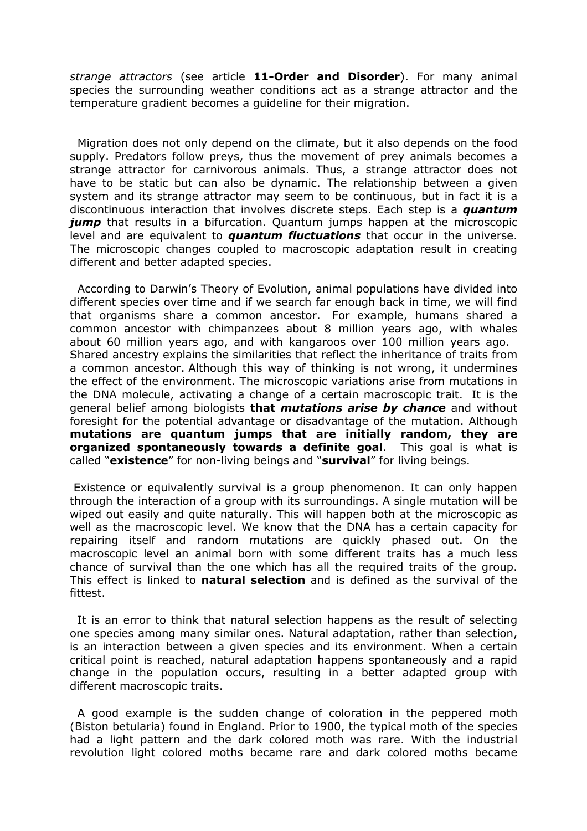strange attractors (see article 11-Order and Disorder). For many animal species the surrounding weather conditions act as a strange attractor and the temperature gradient becomes a guideline for their migration.

 Migration does not only depend on the climate, but it also depends on the food supply. Predators follow preys, thus the movement of prey animals becomes a strange attractor for carnivorous animals. Thus, a strange attractor does not have to be static but can also be dynamic. The relationship between a given system and its strange attractor may seem to be continuous, but in fact it is a discontinuous interaction that involves discrete steps. Each step is a *quantum* **jump** that results in a bifurcation. Quantum jumps happen at the microscopic level and are equivalent to **quantum fluctuations** that occur in the universe. The microscopic changes coupled to macroscopic adaptation result in creating different and better adapted species.

 According to Darwin's Theory of Evolution, animal populations have divided into different species over time and if we search far enough back in time, we will find that organisms share a common ancestor. For example, humans shared a common ancestor with chimpanzees about 8 million years ago, with whales about 60 million years ago, and with kangaroos over 100 million years ago. Shared ancestry explains the similarities that reflect the inheritance of traits from a common ancestor. Although this way of thinking is not wrong, it undermines the effect of the environment. The microscopic variations arise from mutations in the DNA molecule, activating a change of a certain macroscopic trait. It is the general belief among biologists **that mutations arise by chance** and without foresight for the potential advantage or disadvantage of the mutation. Although mutations are quantum jumps that are initially random, they are organized spontaneously towards a definite goal. This goal is what is called "existence" for non-living beings and "survival" for living beings.

 Existence or equivalently survival is a group phenomenon. It can only happen through the interaction of a group with its surroundings. A single mutation will be wiped out easily and quite naturally. This will happen both at the microscopic as well as the macroscopic level. We know that the DNA has a certain capacity for repairing itself and random mutations are quickly phased out. On the macroscopic level an animal born with some different traits has a much less chance of survival than the one which has all the required traits of the group. This effect is linked to **natural selection** and is defined as the survival of the fittest.

 It is an error to think that natural selection happens as the result of selecting one species among many similar ones. Natural adaptation, rather than selection, is an interaction between a given species and its environment. When a certain critical point is reached, natural adaptation happens spontaneously and a rapid change in the population occurs, resulting in a better adapted group with different macroscopic traits.

 A good example is the sudden change of coloration in the peppered moth (Biston betularia) found in England. Prior to 1900, the typical moth of the species had a light pattern and the dark colored moth was rare. With the industrial revolution light colored moths became rare and dark colored moths became